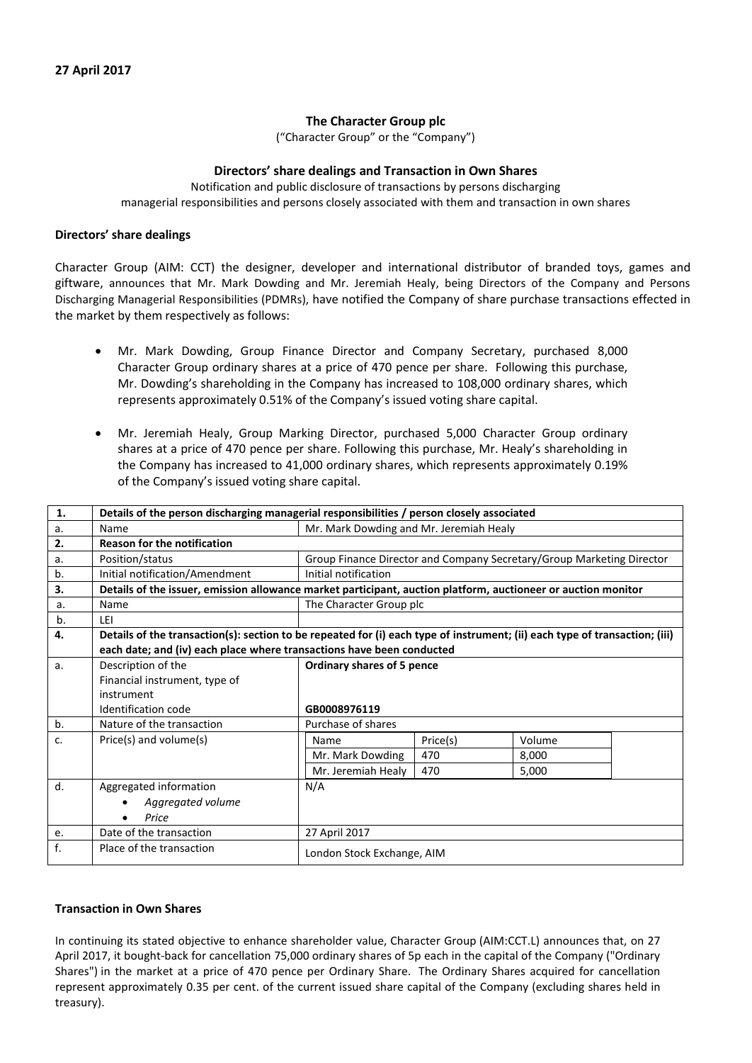# **The Character Group plc**

("Character Group" or the "Company")

## **Directors' share dealings and Transaction in Own Shares**

Notification and public disclosure of transactions by persons discharging managerial responsibilities and persons closely associated with them and transaction in own shares

### **Directors' share dealings**

Character Group (AIM: CCT) the designer, developer and international distributor of branded toys, games and giftware, announces that Mr. Mark Dowding and Mr. Jeremiah Healy, being Directors of the Company and Persons Discharging Managerial Responsibilities (PDMRs), have notified the Company of share purchase transactions effected in the market by them respectively as follows:

- Mr. Mark Dowding, Group Finance Director and Company Secretary, purchased 8,000 Character Group ordinary shares at a price of 470 pence per share. Following this purchase, Mr. Dowding's shareholding in the Company has increased to 108,000 ordinary shares, which represents approximately 0.51% of the Company's issued voting share capital.
- Mr. Jeremiah Healy, Group Marking Director, purchased 5,000 Character Group ordinary shares at a price of 470 pence per share. Following this purchase, Mr. Healy's shareholding in the Company has increased to 41,000 ordinary shares, which represents approximately 0.19% of the Company's issued voting share capital.

| 1. | Details of the person discharging managerial responsibilities / person closely associated                                   |                                                                       |          |        |  |  |
|----|-----------------------------------------------------------------------------------------------------------------------------|-----------------------------------------------------------------------|----------|--------|--|--|
| a. | Name                                                                                                                        | Mr. Mark Dowding and Mr. Jeremiah Healy                               |          |        |  |  |
| 2. | <b>Reason for the notification</b>                                                                                          |                                                                       |          |        |  |  |
| a. | Position/status                                                                                                             | Group Finance Director and Company Secretary/Group Marketing Director |          |        |  |  |
| b. | Initial notification/Amendment                                                                                              | Initial notification                                                  |          |        |  |  |
| 3. | Details of the issuer, emission allowance market participant, auction platform, auctioneer or auction monitor               |                                                                       |          |        |  |  |
| a. | Name                                                                                                                        | The Character Group plc                                               |          |        |  |  |
| b. | I FI                                                                                                                        |                                                                       |          |        |  |  |
| 4. | Details of the transaction(s): section to be repeated for (i) each type of instrument; (ii) each type of transaction; (iii) |                                                                       |          |        |  |  |
|    | each date; and (iv) each place where transactions have been conducted                                                       |                                                                       |          |        |  |  |
| a. | Description of the                                                                                                          | Ordinary shares of 5 pence                                            |          |        |  |  |
|    | Financial instrument, type of                                                                                               |                                                                       |          |        |  |  |
|    | instrument                                                                                                                  |                                                                       |          |        |  |  |
|    | Identification code                                                                                                         | GB0008976119                                                          |          |        |  |  |
| b. | Nature of the transaction                                                                                                   | Purchase of shares                                                    |          |        |  |  |
| C. | Price(s) and volume(s)                                                                                                      | Name                                                                  | Price(s) | Volume |  |  |
|    |                                                                                                                             | Mr. Mark Dowding                                                      | 470      | 8,000  |  |  |
|    |                                                                                                                             | Mr. Jeremiah Healy                                                    | 470      | 5,000  |  |  |
| d. | Aggregated information                                                                                                      | N/A                                                                   |          |        |  |  |
|    | Aggregated volume                                                                                                           |                                                                       |          |        |  |  |
|    | Price                                                                                                                       |                                                                       |          |        |  |  |
| e. | Date of the transaction                                                                                                     | 27 April 2017                                                         |          |        |  |  |
| f. | Place of the transaction                                                                                                    | London Stock Exchange, AIM                                            |          |        |  |  |

### **Transaction in Own Shares**

In continuing its stated objective to enhance shareholder value, Character Group (AIM:CCT.L) announces that, on 27 April 2017, it bought-back for cancellation 75,000 ordinary shares of 5p each in the capital of the Company ("Ordinary Shares") in the market at a price of 470 pence per Ordinary Share. The Ordinary Shares acquired for cancellation represent approximately 0.35 per cent. of the current issued share capital of the Company (excluding shares held in treasury).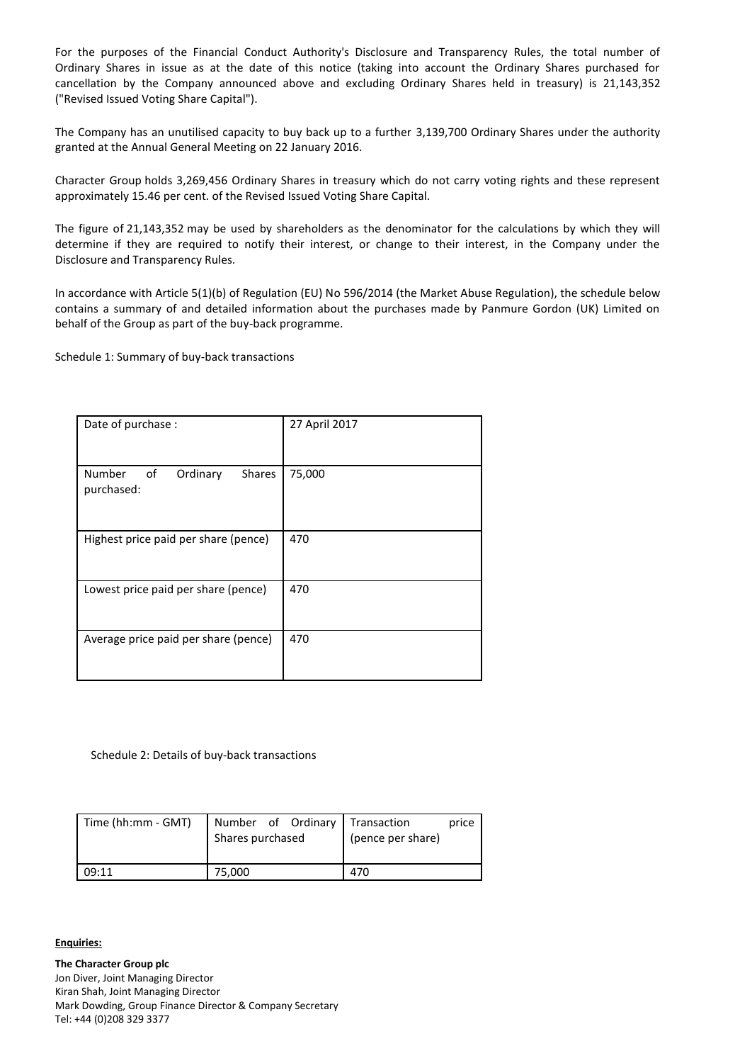For the purposes of the Financial Conduct Authority's Disclosure and Transparency Rules, the total number of Ordinary Shares in issue as at the date of this notice (taking into account the Ordinary Shares purchased for cancellation by the Company announced above and excluding Ordinary Shares held in treasury) is 21,143,352 ("Revised Issued Voting Share Capital").

The Company has an unutilised capacity to buy back up to a further 3,139,700 Ordinary Shares under the authority granted at the Annual General Meeting on 22 January 2016.

Character Group holds 3,269,456 Ordinary Shares in treasury which do not carry voting rights and these represent approximately 15.46 per cent. of the Revised Issued Voting Share Capital.

The figure of 21,143,352 may be used by shareholders as the denominator for the calculations by which they will determine if they are required to notify their interest, or change to their interest, in the Company under the Disclosure and Transparency Rules.

In accordance with Article 5(1)(b) of Regulation (EU) No 596/2014 (the Market Abuse Regulation), the schedule below contains a summary of and detailed information about the purchases made by Panmure Gordon (UK) Limited on behalf of the Group as part of the buy-back programme.

Schedule 1: Summary of buy-back transactions

| Date of purchase :                                      | 27 April 2017 |
|---------------------------------------------------------|---------------|
| Number<br>of<br>Ordinary<br><b>Shares</b><br>purchased: | 75,000        |
| Highest price paid per share (pence)                    | 470           |
| Lowest price paid per share (pence)                     | 470           |
| Average price paid per share (pence)                    | 470           |

Schedule 2: Details of buy-back transactions

| Time (hh:mm - GMT) | Number of Ordinary<br>Shares purchased | Transaction<br>price<br>(pence per share) |
|--------------------|----------------------------------------|-------------------------------------------|
| 09:11              | 75.000                                 | 470                                       |

#### **Enquiries:**

**The Character Group plc** Jon Diver, Joint Managing Director Kiran Shah, Joint Managing Director Mark Dowding, Group Finance Director & Company Secretary Tel: +44 (0)208 329 3377